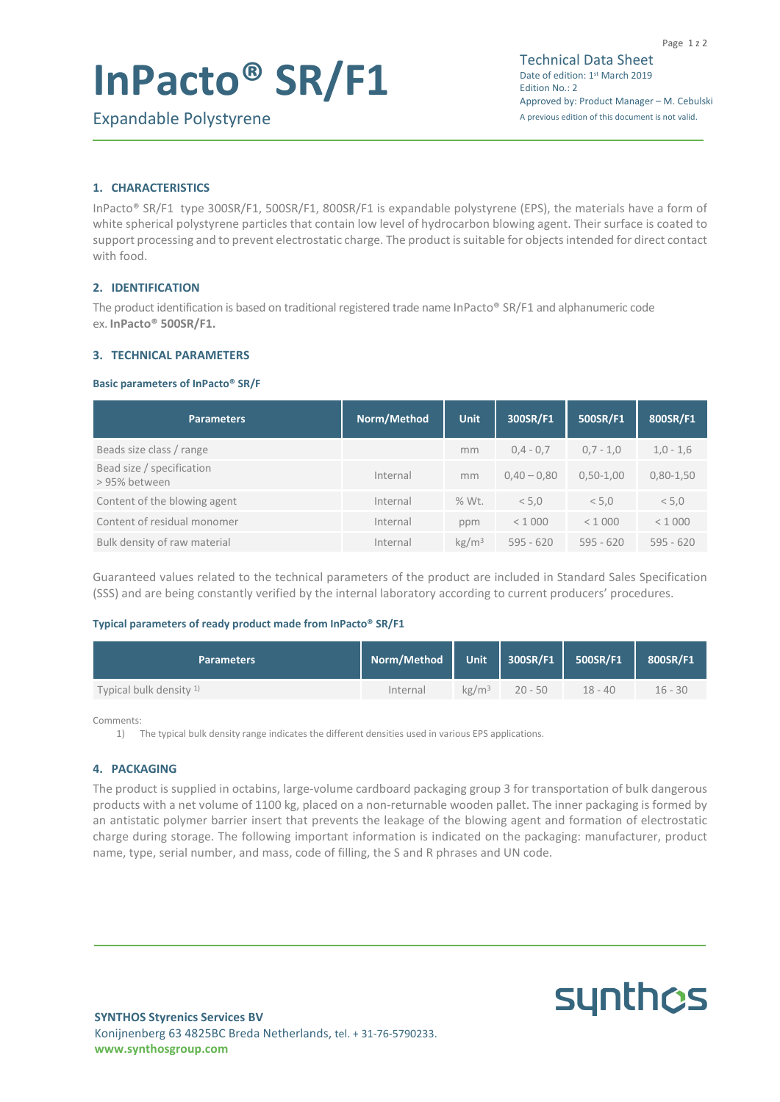# **InPacto® SR/F1**

**synthcs** 

# **1. CHARACTERISTICS**

InPacto® SR/F1 type 300SR/F1, 500SR/F1, 800SR/F1 is expandable polystyrene (EPS), the materials have a form of white spherical polystyrene particles that contain low level of hydrocarbon blowing agent. Their surface is coated to support processing and to prevent electrostatic charge. The product is suitable for objects intended for direct contact with food.

# **2. IDENTIFICATION**

The product identification is based on traditional registered trade name InPacto® SR/F1 and alphanumeric code ex. **InPacto® 500SR/F1.**

## **3. TECHNICAL PARAMETERS**

#### **Basic parameters of InPacto® SR/F**

| <b>Parameters</b>                         | Norm/Method | <b>Unit</b>       | 300SR/F1      | 500SR/F1      | 800SR/F1    |
|-------------------------------------------|-------------|-------------------|---------------|---------------|-------------|
| Beads size class / range                  |             | mm                | $0.4 - 0.7$   | $0,7 - 1,0$   | $1,0 - 1,6$ |
| Bead size / specification<br>>95% between | Internal    | mm                | $0.40 - 0.80$ | $0.50 - 1.00$ | $0,80-1,50$ |
| Content of the blowing agent              | Internal    | % Wt.             | < 5.0         | < 5.0         | < 5.0       |
| Content of residual monomer               | Internal    | ppm               | < 1000        | < 1000        | < 1000      |
| Bulk density of raw material              | Internal    | kg/m <sup>3</sup> | $595 - 620$   | $595 - 620$   | $595 - 620$ |

Guaranteed values related to the technical parameters of the product are included in Standard Sales Specification (SSS) and are being constantly verified by the internal laboratory according to current producers' procedures.

#### **Typical parameters of ready product made from InPacto® SR/F1**

| <b>Parameters</b>        | Norm/Method |                   | Unit 300SR/F1 500SR/F1 |           | 800SR/F1  |
|--------------------------|-------------|-------------------|------------------------|-----------|-----------|
| Typical bulk density $1$ | Internal    | kg/m <sup>3</sup> | $20 - 50$              | $18 - 40$ | $16 - 30$ |

Comments:

1) The typical bulk density range indicates the different densities used in various EPS applications.

## **4. PACKAGING**

The product is supplied in octabins, large-volume cardboard packaging group 3 for transportation of bulk dangerous products with a net volume of 1100 kg, placed on a non-returnable wooden pallet. The inner packaging is formed by an antistatic polymer barrier insert that prevents the leakage of the blowing agent and formation of electrostatic charge during storage. The following important information is indicated on the packaging: manufacturer, product name, type, serial number, and mass, code of filling, the S and R phrases and UN code.